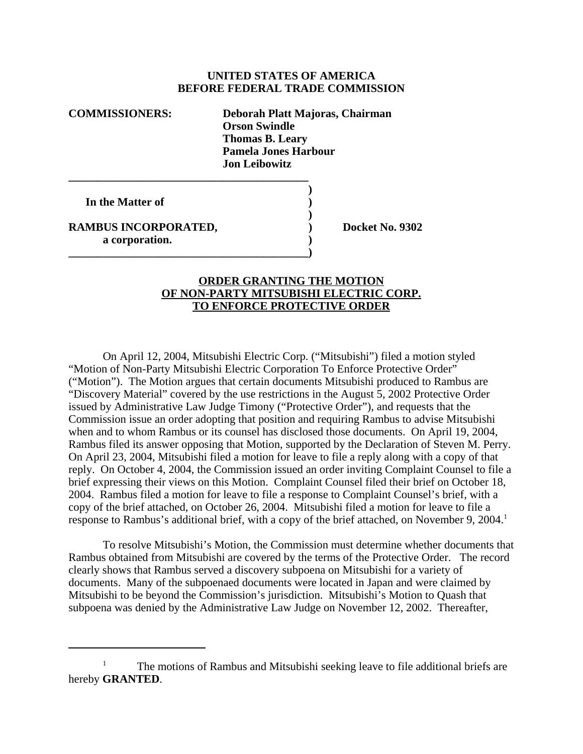## **UNITED STATES OF AMERICA BEFORE FEDERAL TRADE COMMISSION**

**COMMISSIONERS: Deborah Platt Majoras, Chairman Orson Swindle Thomas B. Leary Pamela Jones Harbour Jon Leibowitz**

**)**

**)**

**In the Matter of )**

**RAMBUS INCORPORATED, Sand Control Control Control Docket No. 9302 a corporation. )**

**\_\_\_\_\_\_\_\_\_\_\_\_\_\_\_\_\_\_\_\_\_\_\_\_\_\_\_\_\_\_\_\_\_\_\_\_\_\_\_\_\_\_**

**\_\_\_\_\_\_\_\_\_\_\_\_\_\_\_\_\_\_\_\_\_\_\_\_\_\_\_\_\_\_\_\_\_\_\_\_\_\_\_\_\_\_)**

## **ORDER GRANTING THE MOTION OF NON-PARTY MITSUBISHI ELECTRIC CORP. TO ENFORCE PROTECTIVE ORDER**

On April 12, 2004, Mitsubishi Electric Corp. ("Mitsubishi") filed a motion styled "Motion of Non-Party Mitsubishi Electric Corporation To Enforce Protective Order" ("Motion"). The Motion argues that certain documents Mitsubishi produced to Rambus are "Discovery Material" covered by the use restrictions in the August 5, 2002 Protective Order issued by Administrative Law Judge Timony ("Protective Order"), and requests that the Commission issue an order adopting that position and requiring Rambus to advise Mitsubishi when and to whom Rambus or its counsel has disclosed those documents. On April 19, 2004, Rambus filed its answer opposing that Motion, supported by the Declaration of Steven M. Perry. On April 23, 2004, Mitsubishi filed a motion for leave to file a reply along with a copy of that reply. On October 4, 2004, the Commission issued an order inviting Complaint Counsel to file a brief expressing their views on this Motion. Complaint Counsel filed their brief on October 18, 2004. Rambus filed a motion for leave to file a response to Complaint Counsel's brief, with a copy of the brief attached, on October 26, 2004. Mitsubishi filed a motion for leave to file a response to Rambus's additional brief, with a copy of the brief attached, on November 9, 2004.<sup>1</sup>

To resolve Mitsubishi's Motion, the Commission must determine whether documents that Rambus obtained from Mitsubishi are covered by the terms of the Protective Order. The record clearly shows that Rambus served a discovery subpoena on Mitsubishi for a variety of documents. Many of the subpoenaed documents were located in Japan and were claimed by Mitsubishi to be beyond the Commission's jurisdiction. Mitsubishi's Motion to Quash that subpoena was denied by the Administrative Law Judge on November 12, 2002. Thereafter,

<sup>&</sup>lt;sup>1</sup> The motions of Rambus and Mitsubishi seeking leave to file additional briefs are hereby **GRANTED**.